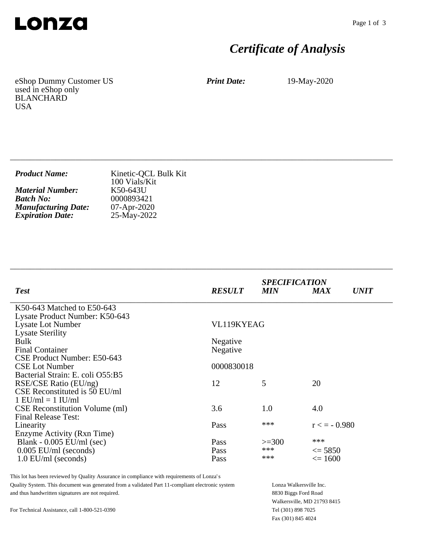

# *Certificate of Analysis*

eShop Dummy Customer US used in eShop only BLANCHARD USA

*Print Date:* 19-May-2020

| <b>Product Name:</b>       | Kinetic-QCL Bulk Kit<br>100 Vials/Kit |
|----------------------------|---------------------------------------|
| <b>Material Number:</b>    | K50-643U                              |
| <b>Batch No:</b>           | 0000893421                            |
| <b>Manufacturing Date:</b> | $07 - Apr - 2020$                     |
| <b>Expiration Date:</b>    | 25-May-2022                           |

\_\_\_\_\_\_\_\_\_\_\_\_\_\_\_\_\_\_\_\_\_\_\_\_\_\_\_\_\_\_\_\_\_\_\_\_\_\_\_\_\_\_\_\_\_\_\_\_\_\_\_\_\_\_\_\_\_\_\_\_\_\_\_\_\_\_\_\_\_\_\_\_\_\_\_\_

\_\_\_\_\_\_\_\_\_\_\_\_\_\_\_\_\_\_\_\_\_\_\_\_\_\_\_\_\_\_\_\_\_\_\_\_\_\_\_\_\_\_\_\_\_\_\_\_\_\_\_\_\_\_\_\_\_\_\_\_\_\_\_\_\_\_\_\_\_\_\_\_\_\_\_\_

| <b>Test</b>                           | <b>RESULT</b> | <b>SPECIFICATION</b><br><b>MIN</b> | <b>MAX</b>        | <b>UNIT</b> |
|---------------------------------------|---------------|------------------------------------|-------------------|-------------|
| K50-643 Matched to E50-643            |               |                                    |                   |             |
| Lysate Product Number: K50-643        |               |                                    |                   |             |
| Lysate Lot Number                     | VL119KYEAG    |                                    |                   |             |
| <b>Lysate Sterility</b>               |               |                                    |                   |             |
| Bulk                                  | Negative      |                                    |                   |             |
| <b>Final Container</b>                | Negative      |                                    |                   |             |
| CSE Product Number: E50-643           |               |                                    |                   |             |
| <b>CSE Lot Number</b>                 | 0000830018    |                                    |                   |             |
| Bacterial Strain: E. coli O55:B5      |               |                                    |                   |             |
| RSE/CSE Ratio (EU/ng)                 | 12            | 5                                  | 20                |             |
| CSE Reconstituted is 50 EU/ml         |               |                                    |                   |             |
| $1$ EU/ml = $1$ IU/ml                 |               |                                    |                   |             |
| <b>CSE</b> Reconstitution Volume (ml) | 3.6           | 1.0                                | 4.0               |             |
| <b>Final Release Test:</b>            |               |                                    |                   |             |
| Linearity                             | Pass          | ***                                | $r \leq -0.980$   |             |
| Enzyme Activity (Rxn Time)            |               |                                    |                   |             |
| Blank - $0.005$ EU/ml (sec)           | Pass          | $>=300$                            | ***               |             |
| $0.005$ EU/ml (seconds)               | Pass          | ***                                | $\leq$ 5850       |             |
| $1.0$ EU/ml (seconds)                 | Pass          | ***                                | $\epsilon = 1600$ |             |

This lot has been reviewed by Quality Assurance in compliance with requirements of Lonza's Quality System. This document was generated from a validated Part 11-compliant electronic system and thus handwritten signatures are not required.

Lonza Walkersville Inc. 8830 Biggs Ford Road Walkersville, MD 21793 8415 Tel (301) 898 7025 Fax (301) 845 4024

For Technical Assistance, call 1-800-521-0390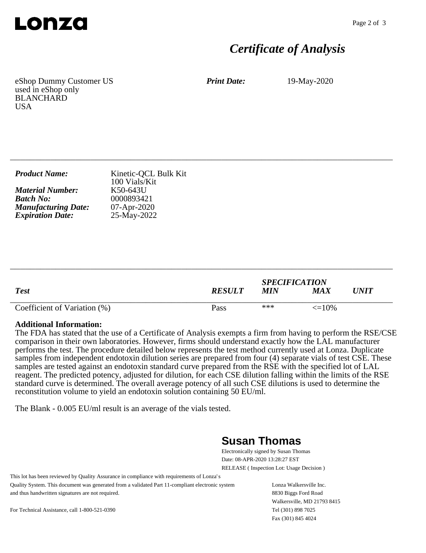

## *Certificate of Analysis*

eShop Dummy Customer US used in eShop only BLANCHARD **USA** 

*Print Date:* 19-May-2020

| <b>Product Name:</b>       | Kinetic-QCL Bulk Kit<br>100 Vials/Kit |
|----------------------------|---------------------------------------|
| <b>Material Number:</b>    | K50-643U                              |
| <b>Batch No:</b>           | 0000893421                            |
| <b>Manufacturing Date:</b> | $07 - Apr - 2020$                     |
| <b>Expiration Date:</b>    | 25-May-2022                           |

\_\_\_\_\_\_\_\_\_\_\_\_\_\_\_\_\_\_\_\_\_\_\_\_\_\_\_\_\_\_\_\_\_\_\_\_\_\_\_\_\_\_\_\_\_\_\_\_\_\_\_\_\_\_\_\_\_\_\_\_\_\_\_\_\_\_\_\_\_\_\_\_\_\_\_\_

| <b>Test</b>                  | <b>RESULT</b> | <b>SPECIFICATION</b><br><b>MIN</b> | MA X              | UNIT |
|------------------------------|---------------|------------------------------------|-------------------|------|
| Coefficient of Variation (%) | Pass          | ***                                | $\epsilon = 10\%$ |      |

\_\_\_\_\_\_\_\_\_\_\_\_\_\_\_\_\_\_\_\_\_\_\_\_\_\_\_\_\_\_\_\_\_\_\_\_\_\_\_\_\_\_\_\_\_\_\_\_\_\_\_\_\_\_\_\_\_\_\_\_\_\_\_\_\_\_\_\_\_\_\_\_\_\_\_\_

#### **Additional Information:**

The FDA has stated that the use of a Certificate of Analysis exempts a firm from having to perform the RSE/CSE comparison in their own laboratories. However, firms should understand exactly how the LAL manufacturer performs the test. The procedure detailed below represents the test method currently used at Lonza. Duplicate samples from independent endotoxin dilution series are prepared from four (4) separate vials of test CSE. These samples are tested against an endotoxin standard curve prepared from the RSE with the specified lot of LAL reagent. The predicted potency, adjusted for dilution, for each CSE dilution falling within the limits of the RSE standard curve is determined. The overall average potency of all such CSE dilutions is used to determine the reconstitution volume to yield an endotoxin solution containing 50 EU/ml.

The Blank - 0.005 EU/ml result is an average of the vials tested.

### **Susan Thomas**

Electronically signed by Susan Thomas Date: 08-APR-2020 13:28:27 EST RELEASE ( Inspection Lot: Usage Decision )

This lot has been reviewed by Quality Assurance in compliance with requirements of Lonza's Quality System. This document was generated from a validated Part 11-compliant electronic system and thus handwritten signatures are not required.

Lonza Walkersville Inc. 8830 Biggs Ford Road Walkersville, MD 21793 8415 Tel (301) 898 7025 Fax (301) 845 4024

For Technical Assistance, call 1-800-521-0390